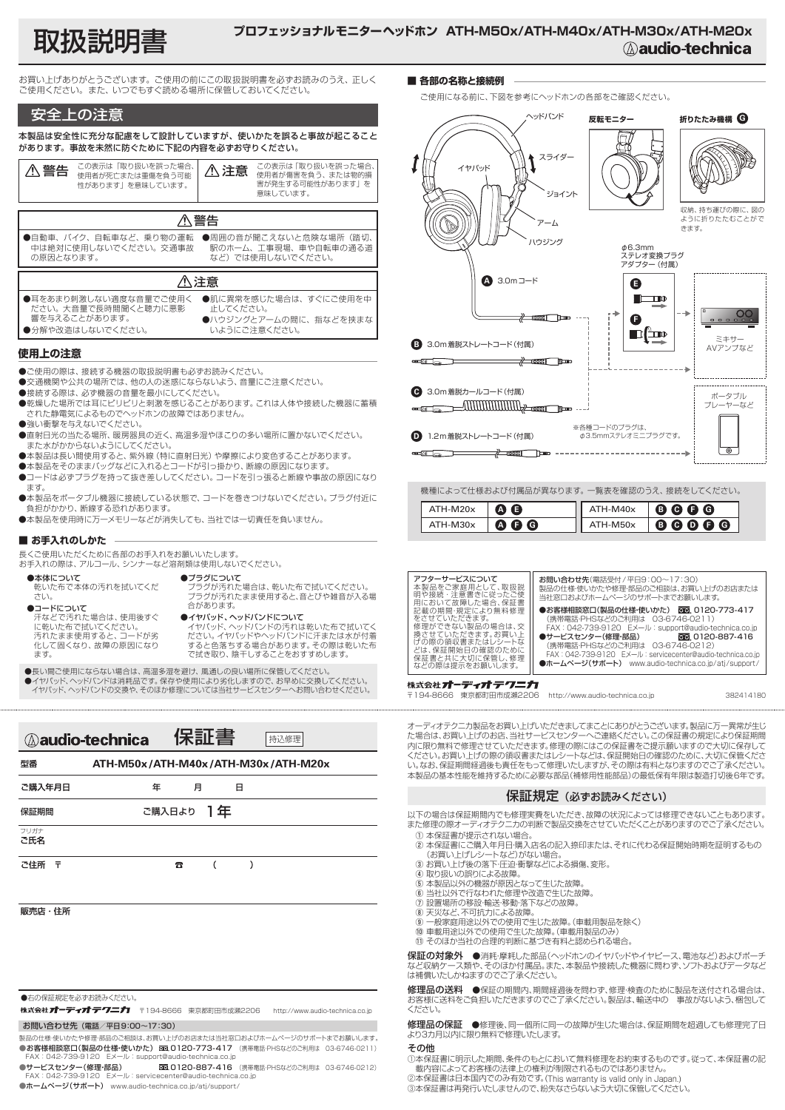# 取扱説明書 **プロフェッショナルモニターヘッドホン ATH-M50x/ATH-M40x/ATH-M30x/ATH-M20x**

お買い上げありがとうございます。ご使用の前にこの取扱説明書を必ずお読みのうえ、正しく ご使用ください。また、いつでもすぐ読める場所に保管しておいてください。

### 安全上の注意

本製品は安全性に充分な配慮をして設計していますが、使いかたを誤ると事故が起こること があります。事故を未然に防ぐために下記の内容を必ずお守りください。

| ⚠ 警告 | この表示は「取り扱いを誤った場合、<br>使用者が死亡または重傷を負う可能<br>性があります  を意味しています。 | △注意 | この表示は「取り扱いを誤った場合、<br>使用者が傷害を負う、または物的損<br>害が発生する可能性があります  を<br>意味しています。 |  |  |
|------|------------------------------------------------------------|-----|------------------------------------------------------------------------|--|--|
| 八 警告 |                                                            |     |                                                                        |  |  |
|      | ●自動車、バイク、自転車など、乗り物の運転<br>中は絶対に使用しないでください。交通事故              |     | ●周囲の音が聞こえないと危険な場所 (踏切,<br>駅のホーム、工事現場、車や自転車の通る道                         |  |  |

●自動車、バイク、自転車など、乗り物の運転 中は絶対に使用しないでください。交通事故 の原因となります。 など)では使用しないでください。

#### 注意 ●耳をあまり刺激しない適度な音量でご使用く ださい。大音量で長時間聞くと聴力に悪影 響を与えることがあります。 ●分解や改造はしないでください。 ●肌に異常を感じた場合は、すぐにご使用を中 止してください。 ●ハウジングとアームの間に、指などを挟まな いようにご注意ください。

#### **使用上の注意**

●ご使用の際は、接続する機器の取扱説明書も必ずお読みください。

- ●交通機関や公共の場所では、他の人の迷惑にならないよう、音量にご注意ください。
- ●接続する際は、必ず機器の音量を最小にしてください。
- ●乾燥した場所では耳にピリピリと刺激を感じることがあります。これは人体や接続した機器に蓄積 された静電気によるものでヘッドホンの故障ではありません。
- ●強い衝撃を与えないでください
- ●直射日光の当たる場所、暖房器具の近く、高温多湿やほこりの多い場所に置かないでください。 また水がかからないようにしてください。
- ●本製品は長い間使用すると、紫外線(特に直射日光)や摩擦により変色することがあります。
- ●本製品をそのままバッグなどに入れるとコードが引っ掛かり、断線の原因になります。
- ●コードは必ずプラグを持って抜き差ししてください。コードを引っ張ると断線や事故の原因になり ます。
- ●本製品をポータブル機器に接続している状態で、 コードを巻きつけないでください。 プラグ付近に 負担がかかり、断線する恐れがあります。
- ●本製品を使用時に万一メモリーなどが消失しても、当社では一切責任を負いません。

#### **■ お手入れのしかた**

型番

長くご使用いただくために各部のお手入れをお願いいたします。

| お手入れの際は、アルコール、シンナーなど溶剤類は使用しないでください。 |                           |
|-------------------------------------|---------------------------|
| ●本体について                             | ●プラグについて                  |
| 乾いた布で本体の汚れを拭いてくだ                    | プラグが汚れた場合は、乾いた布で拭いてください。  |
| さい。                                 | プラグが汚れたまま使用すると、音とびや雑音が入る場 |
| ●コードについて                            | 合があります。                   |
| 汗などで汚れた場合は、使用後すぐ                    | ●イヤパッド、ヘッドバンドについて         |
| に乾いた布で拭いてください。                      | イヤパッド、ヘッドバンドの汚れは乾いた布で拭いてく |
| 汚れたまま使用すると、コードが劣                    | ださい。イヤパッドやヘッドバンドに汗または水が付着 |
| 化して固くなり、故障の原因になり                    | すると色落ちする場合があります。その際は乾いた布  |
| ます。                                 | で拭き取り、陰干しすることをおすすめします。    |

●長い間ご使用にならない場合は、高温多湿を避け、風通しの良い場所に保管してください。<br>●イヤパッド、ヘッドバンドは消耗品です。保存や使用により劣化しますので、お早めに交換してください。<br>- イヤパッド、ヘッドバンドの交換や、そのほか修理については当社サービスセンターへお問い合わせください。

**ATH-M50x/ATH-M40x/ATH-M30x/ATH-M20x**

| <b>Aaudio-technica</b> | 休証音 |  |
|------------------------|-----|--|
|                        |     |  |

| 年 |   |                |   |  |
|---|---|----------------|---|--|
|   |   |                |   |  |
|   |   |                |   |  |
| B | ( | $\rightarrow$  |   |  |
|   |   |                |   |  |
|   |   |                |   |  |
|   |   | 月<br>ご購入日より 1年 | 日 |  |

#### ●右の保証規定を必ずお読みください。

株式会社 オーディオ テクニカ - 〒194-8666 東京都町田市成瀬2206 - http://www.audio-technica.co.jp

お問い合わせ先(電話/平日9:00~17:30)

製品の仕様・使いかたや修理・部品のご相談は、お買い上げのお店または当社窓口およびホームページのサポートまでお願いします。 ●お客様相談窓口(製品の仕様・使いかた) 面3 0120-773-417 (携帯電話・PHSなどのご利用は 03-6746-0211) FAX:042-739-9120 Eメール:support@audio-technica.co.jp

●サービスセンター(修理·部品) 020120-887-416 (携帯電話·PHSなどのご利用は 03-6746-0212)<br>FAX: 042-739-9120 Eメール: servicecenter@audio-technica.co.jp FAX: 042-739-9120 Eメール: servicecenter@audio-techn

●ホームページ(サポート) www.audio-technica.co.jp/atj/support/

#### **■ 各部の名称と接続例**

ご使用になる前に、下図を参考にヘッドホンの各部をご確認ください。



機種によって仕様および付属品が異なります。一覧表を確認のうえ、接続をしてください。

| $ATH-M20x$ | A O         | ATH-M40x   | $\bullet$ $\bullet$ $\bullet$ |
|------------|-------------|------------|-------------------------------|
| $ATH-M30x$ | $A$ $A$ $B$ | $ATH-M50x$ | 88086                         |



株式会社 オーディオ テクニカ 〒194-8666 東京都町田市成瀬2206 http://www.audio-technica.co.jp

382414180

オーディオテクニカ製品をお買い上げいただきましてまことにありがとうございます。製品に万一異常が生じ た場合は、お買い上げのお店、当社サービスセンターへご連絡ください。この保証書の規定により保証期間 内に限り無料で修理させていただきます。修理の際にはこの保証書をご提示願いますので大切に保存して ください。お買い上げの際の領収書またはレシートなどは、保証開始日の確認のために、大切に保管くださ い。なお、保証期間経過後も責任をもって修理いたしますが、その際は有料となりますのでご了承ください。 本製品の基本性能を維持するために必要な部品(補修用性能部品)の最低保有年限は製造打切後6年です。

## 保証規定(必ずお読みください)

以下の場合は保証期間内でも修理実費をいただき、故障の状況によっては修理できないこともあります。 また修理の際オーディオテクニカの判断で製品交換をさせていただくことがありますのでご了承ください。

- ① 本保証書が提示されない場合。<br>② 本保証書にご購入年月日·購入店名の記入捺印または、それに代わる保証開始時期を証明するもの (お買い上げレシートなど)がない場合。
- ③ お買い上げ後の落下・圧迫・衝撃などによる損傷、変形。
- ④ 取り扱いの誤りによる故障。
- ⑤ 本製品以外の機器が原因となって生じた故障。 ⑥ 当社以外で行なわれた修理や改造で生じた故障。
- コロスク こけなわれたしみで、改造 こエンに放射
- 
- ⑧ 天災など、不可抗力による故障。 ⑨ 一般家庭用途以外での使用で生じた故障。(車載用製品を除く)
- 
- ⑩ 車載用途以外での使用で生じた故障。(車載用製品のみ) ⑪ そのほか当社の合理的判断に基づき有料と認められる場合。

保証の対象外 ●消耗・摩耗した部品(ヘッドホンのイヤパッドやイヤピース、電池など)およびポーチ など収納ケース類や、そのほか付属品。また、本製品や接続した機器に問わず、ソフトおよびデータなど は補償いたしかねますのでご了承ください。

**修理品の送料 ●**保証の期間内、期間経過後を問わず、修理·検査のために製品を送付される場合は、 お客様に送料をご負担いただきますのでご了承ください。製品は、輸送中の 事故がないよう、梱包して ください。

6理品の保証 ●修理後、同一個所に同一の故障が生じた場合は、保証期間を超過しても修理完了日 より3カ月以内に限り無料で修理いたします。

#### その他

①本保証書に明示した期間、条件のもとにおいて無料修理をお約束するものです。従って、本保証書の記 載内容によってお客様の法律上の権利が制限されるものではありません。

②本保証書は日本国内でのみ有効です。(This warranty is valid only in Japan.) ③本保証書は再発行いたしませんので、紛失なさらないよう大切に保管してください。